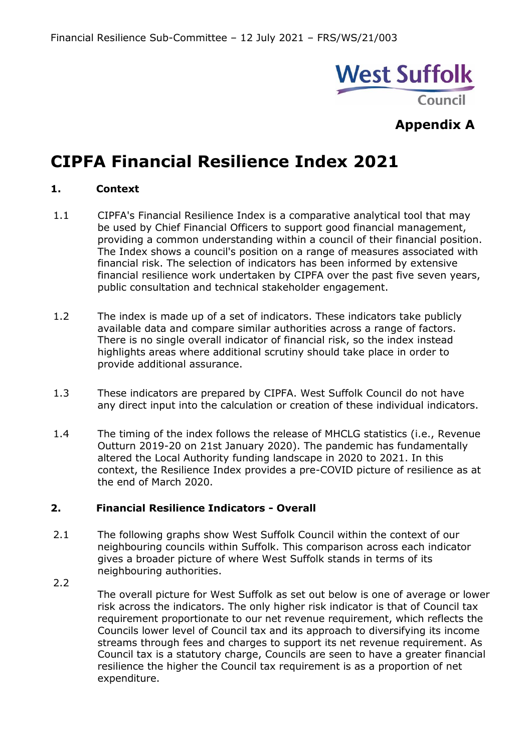

# **CIPFA Financial Resilience Index 2021**

# **1. Context**

- 1.1 CIPFA's Financial Resilience Index is a comparative analytical tool that may be used by Chief Financial Officers to support good financial management, providing a common understanding within a council of their financial position. The Index shows a council's position on a range of measures associated with financial risk. The selection of indicators has been informed by extensive financial resilience work undertaken by CIPFA over the past five seven years, public consultation and technical stakeholder engagement.
- 1.2 The index is made up of a set of indicators. These indicators take publicly available data and compare similar authorities across a range of factors. There is no single overall indicator of financial risk, so the index instead highlights areas where additional scrutiny should take place in order to provide additional assurance.
- 1.3 These indicators are prepared by CIPFA. West Suffolk Council do not have any direct input into the calculation or creation of these individual indicators.
- 1.4 The timing of the index follows the release of MHCLG statistics (i.e., Revenue Outturn 2019-20 on 21st January 2020). The pandemic has fundamentally altered the Local Authority funding landscape in 2020 to 2021. In this context, the Resilience Index provides a pre-COVID picture of resilience as at the end of March 2020.

# **2. Financial Resilience Indicators - Overall**

- 2.1 The following graphs show West Suffolk Council within the context of our neighbouring councils within Suffolk. This comparison across each indicator gives a broader picture of where West Suffolk stands in terms of its neighbouring authorities.
- 2.2 The overall picture for West Suffolk as set out below is one of average or lower risk across the indicators. The only higher risk indicator is that of Council tax requirement proportionate to our net revenue requirement, which reflects the Councils lower level of Council tax and its approach to diversifying its income streams through fees and charges to support its net revenue requirement. As Council tax is a statutory charge, Councils are seen to have a greater financial resilience the higher the Council tax requirement is as a proportion of net expenditure.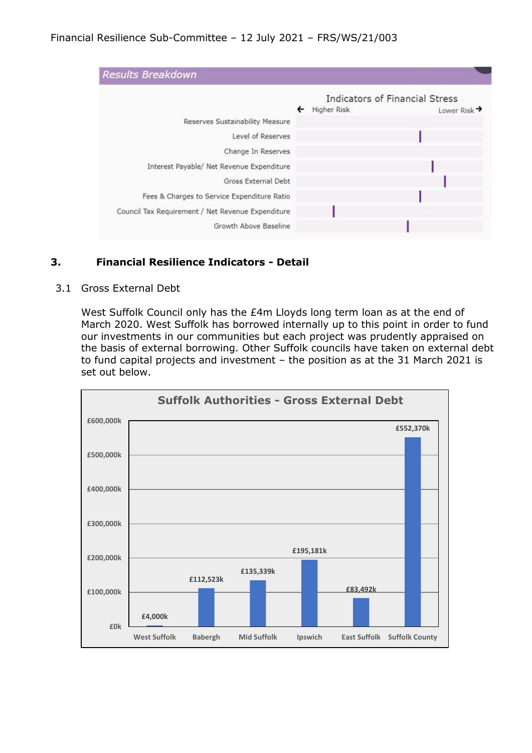|                                                   |   | Indicators of Financial Stress          |
|---------------------------------------------------|---|-----------------------------------------|
|                                                   | ← | Higher Risk<br>Lower Risk $\rightarrow$ |
| Reserves Sustainability Measure                   |   |                                         |
| Level of Reserves                                 |   |                                         |
| Change In Reserves                                |   |                                         |
| Interest Payable/ Net Revenue Expenditure         |   |                                         |
| Gross External Debt                               |   |                                         |
| Fees & Charges to Service Expenditure Ratio       |   |                                         |
| Council Tax Requirement / Net Revenue Expenditure |   |                                         |
| Growth Above Baseline                             |   |                                         |

# **3. Financial Resilience Indicators - Detail**

3.1 Gross External Debt

West Suffolk Council only has the £4m Lloyds long term loan as at the end of March 2020. West Suffolk has borrowed internally up to this point in order to fund our investments in our communities but each project was prudently appraised on the basis of external borrowing. Other Suffolk councils have taken on external debt to fund capital projects and investment – the position as at the 31 March 2021 is set out below.

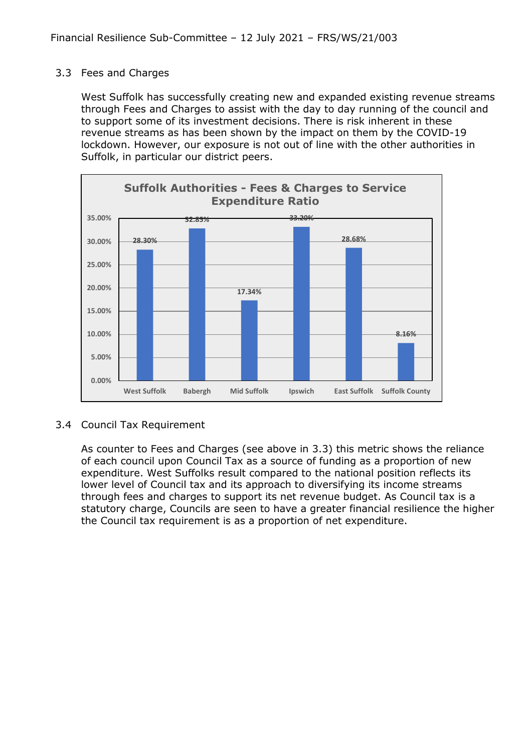### 3.3 Fees and Charges

West Suffolk has successfully creating new and expanded existing revenue streams through Fees and Charges to assist with the day to day running of the council and to support some of its investment decisions. There is risk inherent in these revenue streams as has been shown by the impact on them by the COVID-19 lockdown. However, our exposure is not out of line with the other authorities in Suffolk, in particular our district peers.



# 3.4 Council Tax Requirement

As counter to Fees and Charges (see above in 3.3) this metric shows the reliance of each council upon Council Tax as a source of funding as a proportion of new expenditure. West Suffolks result compared to the national position reflects its lower level of Council tax and its approach to diversifying its income streams through fees and charges to support its net revenue budget. As Council tax is a statutory charge, Councils are seen to have a greater financial resilience the higher the Council tax requirement is as a proportion of net expenditure.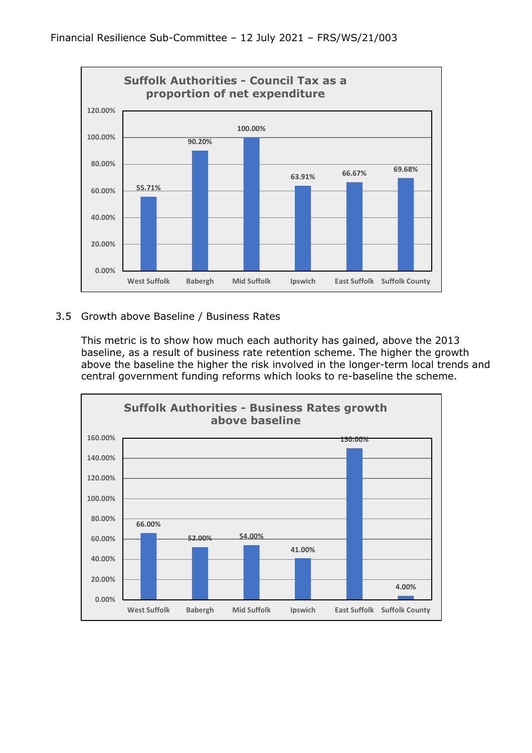

# 3.5 Growth above Baseline / Business Rates

This metric is to show how much each authority has gained, above the 2013 baseline, as a result of business rate retention scheme. The higher the growth above the baseline the higher the risk involved in the longer-term local trends and central government funding reforms which looks to re-baseline the scheme.

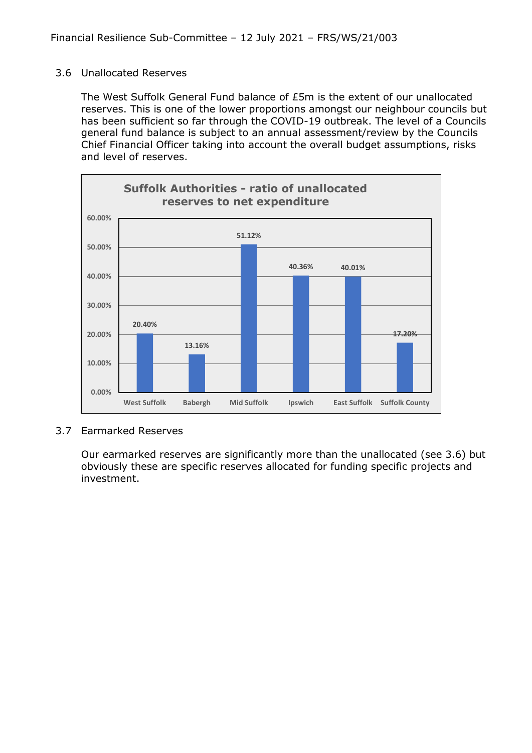#### 3.6 Unallocated Reserves

The West Suffolk General Fund balance of £5m is the extent of our unallocated reserves. This is one of the lower proportions amongst our neighbour councils but has been sufficient so far through the COVID-19 outbreak. The level of a Councils general fund balance is subject to an annual assessment/review by the Councils Chief Financial Officer taking into account the overall budget assumptions, risks and level of reserves.



#### 3.7 Earmarked Reserves

Our earmarked reserves are significantly more than the unallocated (see 3.6) but obviously these are specific reserves allocated for funding specific projects and investment.